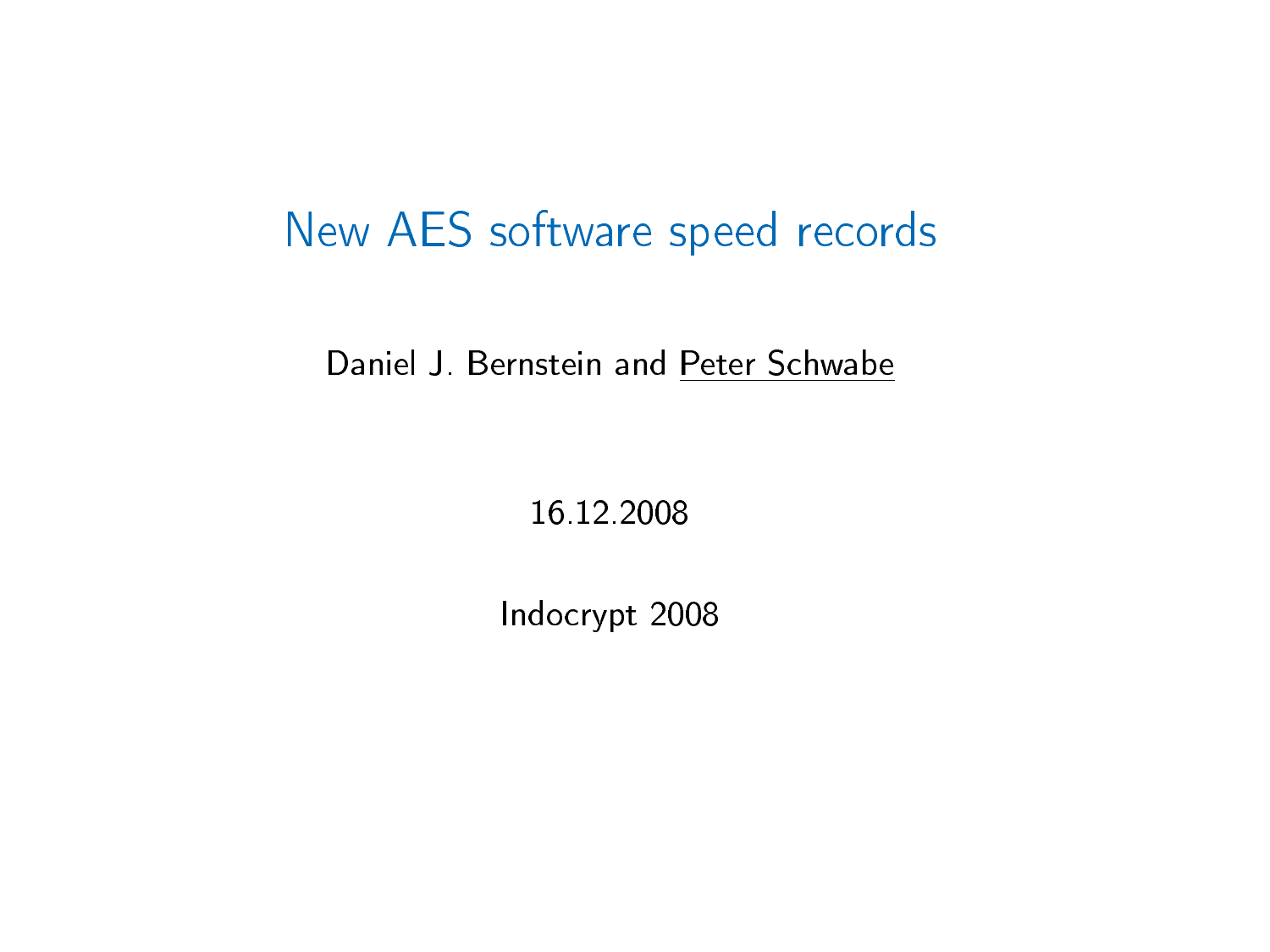### New AES software speed records

Daniel J. Bernstein and Peter Schwabe

16.12.2008

Indocrypt 2008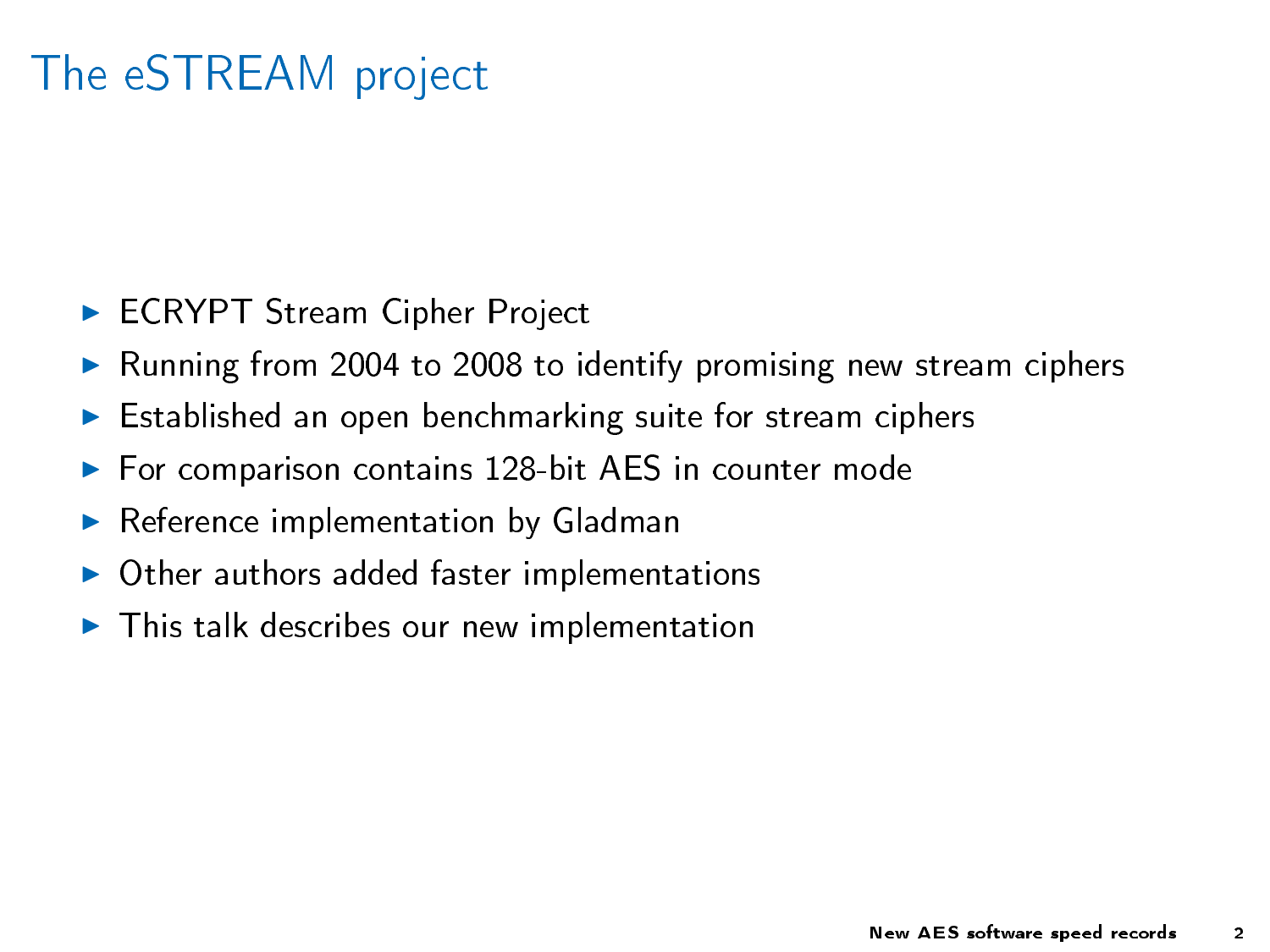# The eSTREAM project

- ► ECRYPT Stream Cipher Project
- E Running from 2004 to 2008 to identify promising new stream ciphers
- $\blacktriangleright$  Established an open benchmarking suite for stream ciphers
- $\blacktriangleright$  For comparison contains 128-bit AES in counter mode
- $\blacktriangleright$  Reference implementation by Gladman
- $\triangleright$  Other authors added faster implementations
- $\blacktriangleright$  This talk describes our new implementation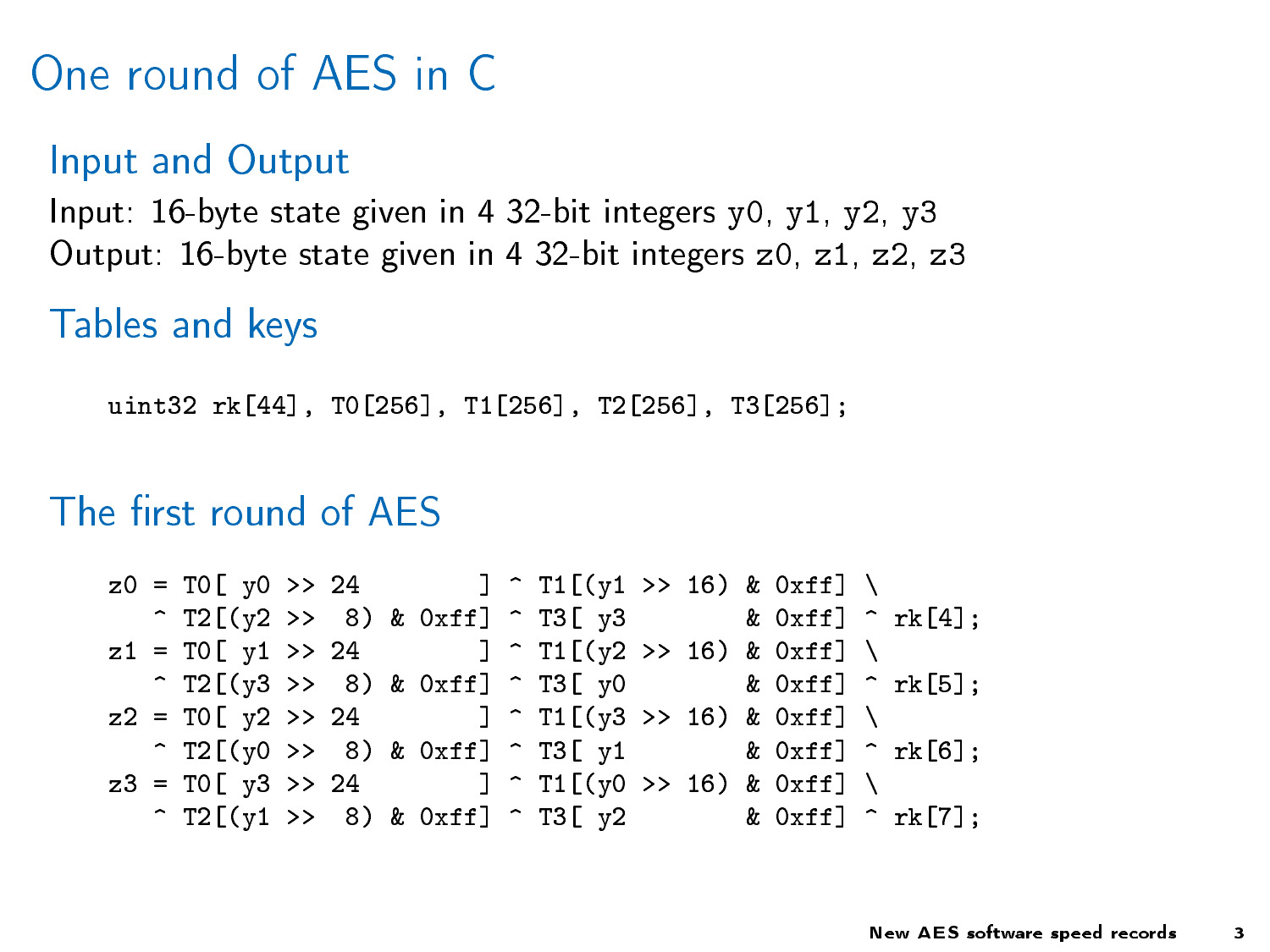One round of AES in C

Input and Output Input: 16-byte state given in 4 32-bit integers y0, y1, y2, y3 Output: 16-byte state given in 4 32-bit integers z0, z1, z2, z3

Tables and keys

uint32 rk[44], T0[256], T1[256], T2[256], T3[256];

### The first round of AES

 $z0 = T0$ [ y0 >> 24 ] ^ T1[(y1 >> 16) & 0xff] \  $\hat{ }$  T2[(y2 >> 8) & 0xff]  $\hat{ }$  T3[ y3 & 0xff]  $\hat{ }$  rk[4];  $z1 = T0$ [ y1 >> 24 ] ^ T1[(y2 >> 16) & 0xff] \  $\hat{z}$  T2[(y3 >> 8) & 0xff]  $\hat{z}$  T3[ y0 & 0xff]  $\hat{z}$  rk[5];  $z2 = T0$ [ y2 >> 24 ] ^ T1[(y3 >> 16) & 0xff] \  $\hat{z}$  T2[(y0 >> 8) & 0xff]  $\hat{z}$  T3[ y1 & 0xff]  $\hat{z}$  rk[6];  $z3 = T0$ [ y3 >> 24 ] ^ T1[(y0 >> 16) & 0xff] \  $\hat{ }$  T2[(y1 >> 8) & 0xff]  $\hat{ }$  T3[ y2 & 0xff]  $\hat{ }$  rk[7];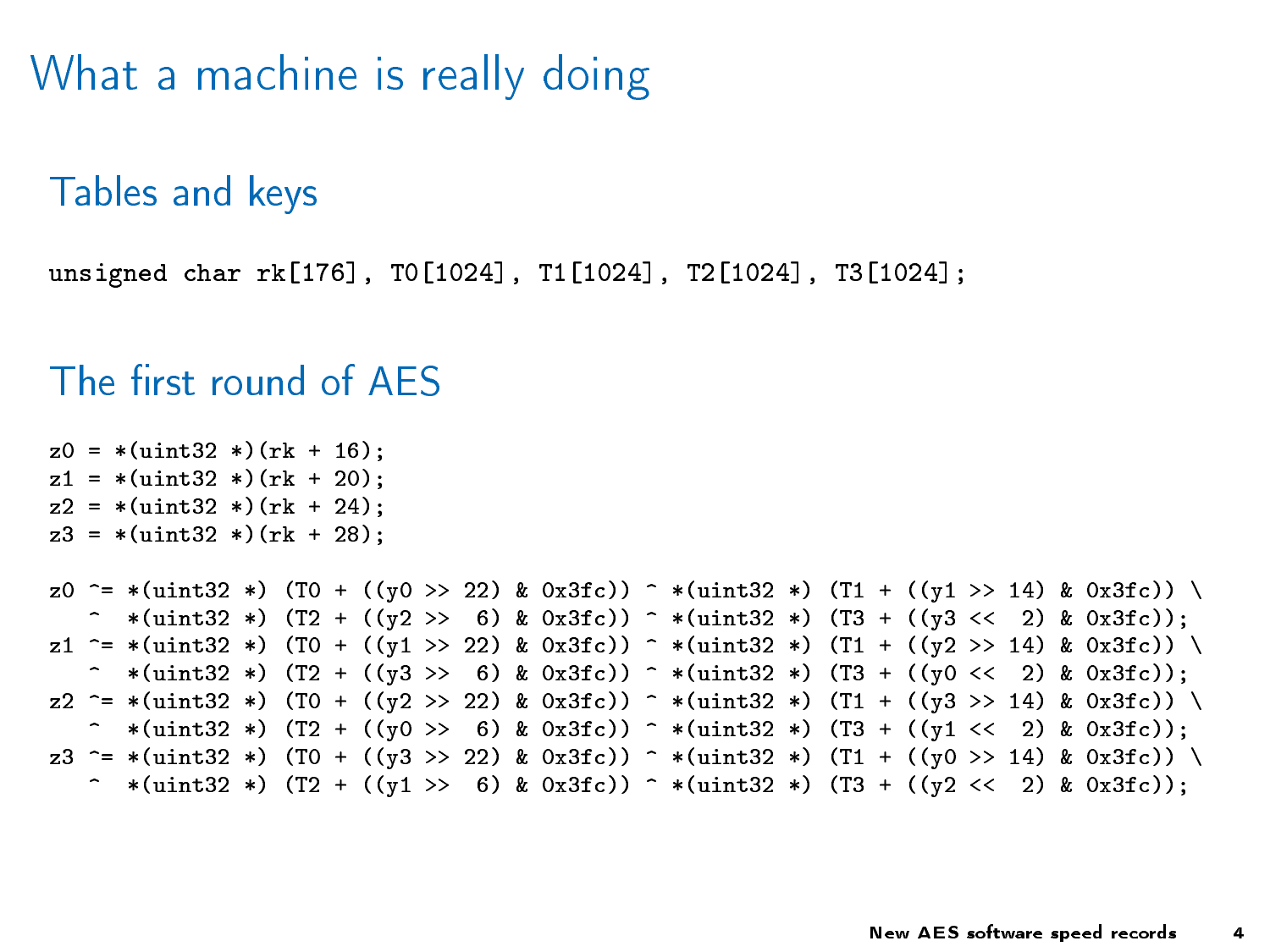What a machine is really doing

Tables and keys

unsigned char rk[176], T0[1024], T1[1024], T2[1024], T3[1024];

#### The first round of AES

```
z0 = *(uint32 *)(rk + 16);
z1 = *(uint32 *)(rk + 20);
z2 = *(uint32 *)(rk + 24);
z3 = *(uint32 *)(rk + 28);
z0 ^= *(uint32 *) (T0 + ((y0 >> 22) & 0x3fc)) ^ *(uint32 *) (T1 + ((y1 >> 14) & 0x3fc)) \
   \hat{z} *(uint32 *) (T2 + ((y2 >> 6) & 0x3fc)) \hat{z} *(uint32 *) (T3 + ((y3 << 2) & 0x3fc));
z1 ^= *(uint32 *) (T0 + ((y1 >> 22) & 0x3fc)) ^ *(uint32 *) (T1 + ((y2 >> 14) & 0x3fc)) \
   ^ *(uint32 *) (T2 + ((y3 >> 6) & 0x3fc)) ^ *(uint32 *) (T3 + ((y0 << 2) & 0x3fc));
z2 ^= *(uint32 *) (T0 + ((y2 >> 22) & 0x3fc)) ^ *(uint32 *) (T1 + ((y3 >> 14) & 0x3fc)) \
   ^ *(uint32 *) (T2 + ((y0 >> 6) & 0x3fc)) ^ *(uint32 *) (T3 + ((y1 << 2) & 0x3fc));
z3 ^= *(uint32 *) (T0 + ((y3 >> 22) & 0x3fc)) ^ *(uint32 *) (T1 + ((y0 >> 14) & 0x3fc)) \
   ^ *(uint32 *) (T2 + ((y1 >> 6) & 0x3fc)) ^ *(uint32 *) (T3 + ((y2 << 2) & 0x3fc));
```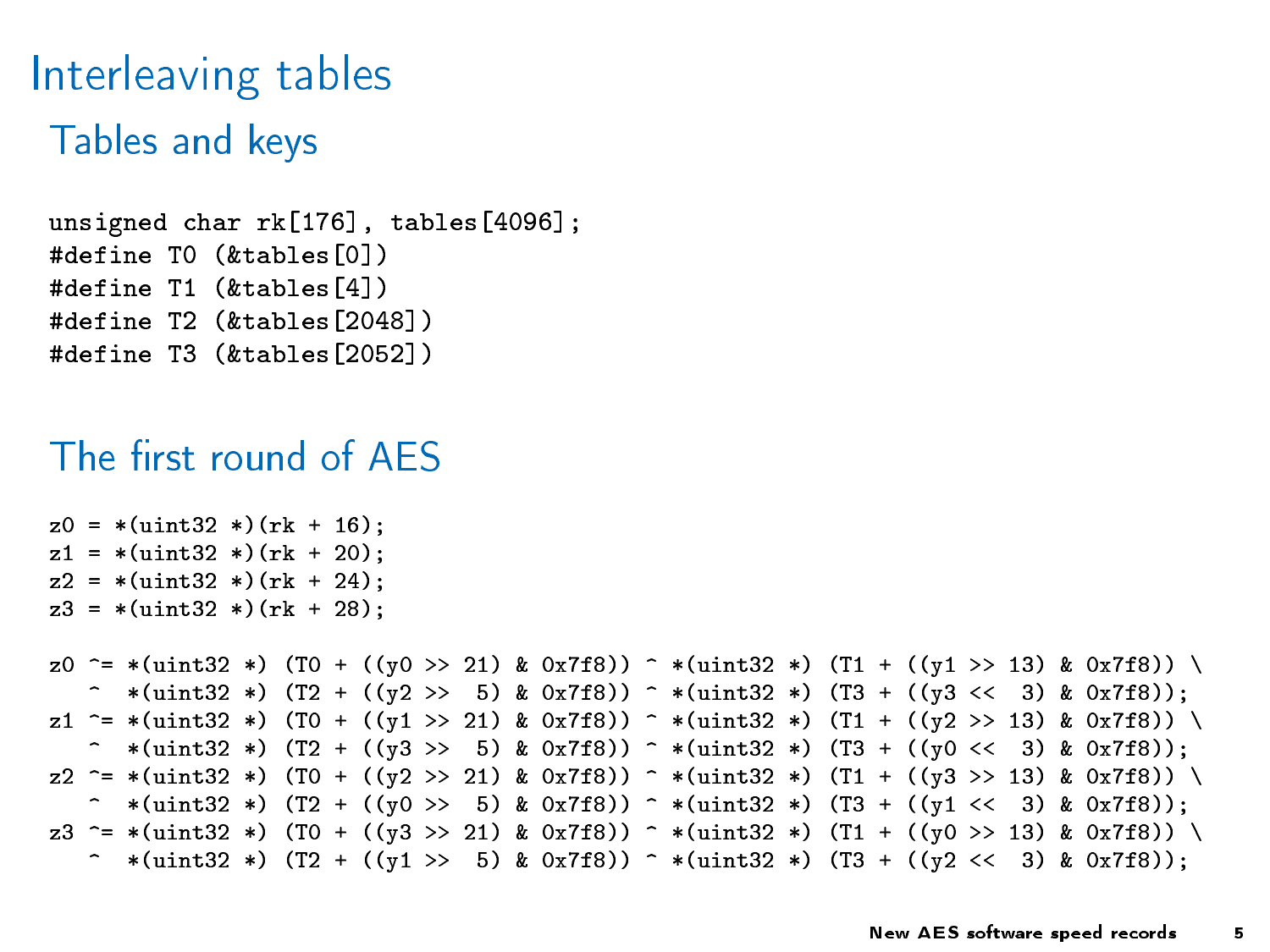## Interleaving tables Tables and keys

```
unsigned char rk[176], tables[4096];
#define T0 (&tables[0])
#define T1 (&tables[4])
#define T2 (&tables[2048])
#define T3 (&tables[2052])
```
### The first round of AFS

```
z0 = *(uint32 *)(rk + 16);
z1 = *(uint32 *)(rk + 20);
z2 = *(uint32 *)(rk + 24);
z3 = *(uint32 *)(rk + 28);
z0 ^= *(uint32 *) (T0 + ((y0 >> 21) & 0x7f8)) ^ *(uint32 *) (T1 + ((y1 >> 13) & 0x7f8)) \
   ^ *(uint32 *) (T2 + ((y2 >> 5) & 0x7f8)) ^ *(uint32 *) (T3 + ((y3 << 3) & 0x7f8));
z1 ^= *(uint32 *) (T0 + ((y1 >> 21) & 0x7f8)) ^ *(uint32 *) (T1 + ((y2 >> 13) & 0x7f8)) \
   ^ *(uint32 *) (T2 + ((y3 >> 5) & 0x7f8)) ^ *(uint32 *) (T3 + ((y0 << 3) & 0x7f8));
z2 ^= *(uint32 *) (T0 + ((y2 >> 21) & 0x7f8)) ^ *(uint32 *) (T1 + ((y3 >> 13) & 0x7f8)) \
   \hat{z} *(uint32 *) (T2 + ((y0 >> 5) & 0x7f8)) \hat{z} *(uint32 *) (T3 + ((y1 << 3) & 0x7f8));
z3 ^= *(uint32 *) (T0 + ((y3 >> 21) & 0x7f8)) ^ *(uint32 *) (T1 + ((y0 >> 13) & 0x7f8)) \
   ^ *(uint32 *) (T2 + ((y1 >> 5) & 0x7f8)) ^ *(uint32 *) (T3 + ((y2 << 3) & 0x7f8));
```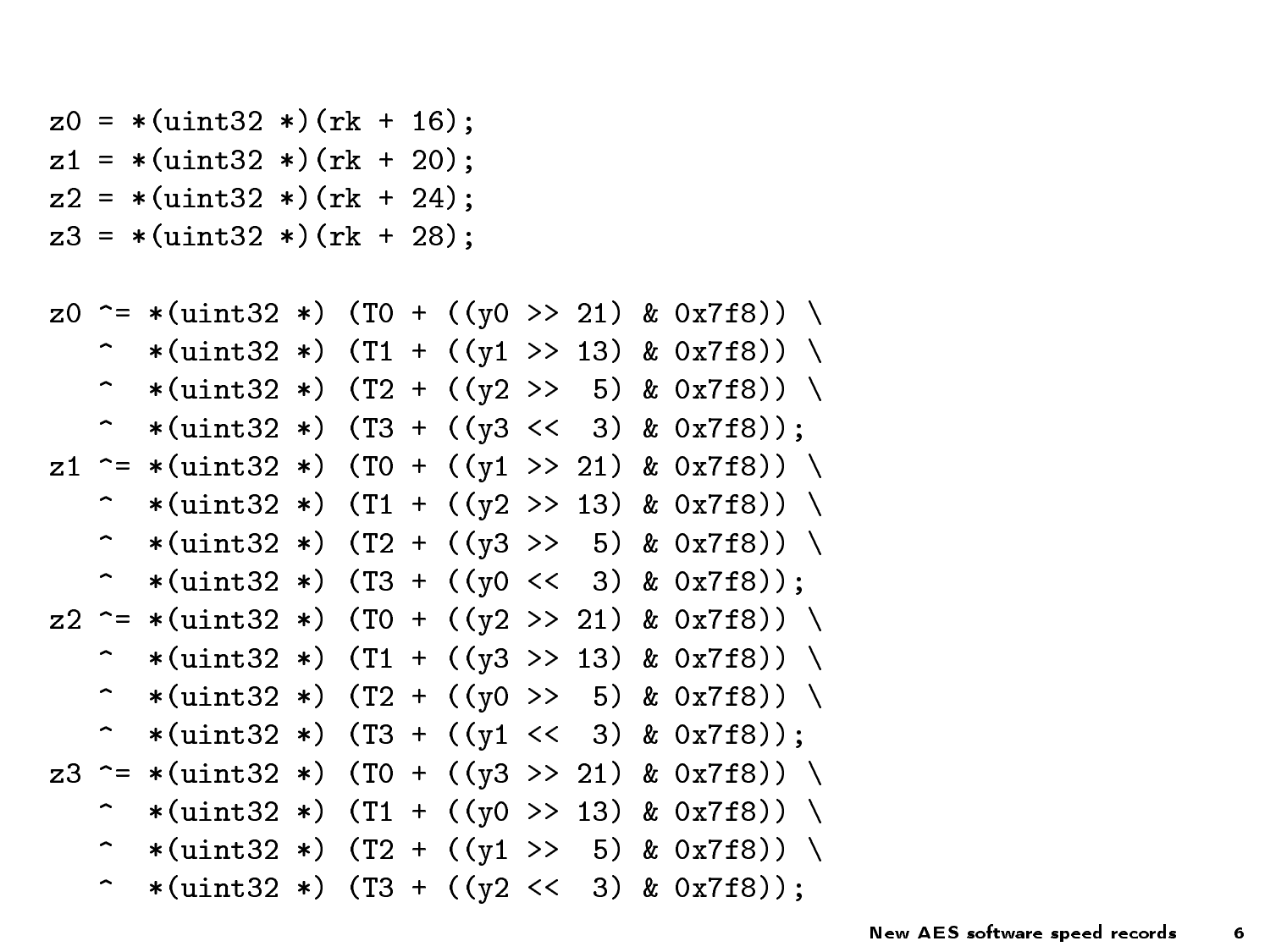$z0 = *$ (uint32 \*)(rk + 16);  $z1 = *$ (uint32 \*)(rk + 20);  $z2 = *$ (uint32 \*)(rk + 24);  $z3 = *$ (uint32 \*)(rk + 28);

```
z0 ^= *(uint32 *) (T0 + ((y0 >> 21) & 0x7f8)) \
   ^ *(uint32 *) (T1 + ((y1 >> 13) & 0x7f8)) \
   \hat{ } *(uint32 *) (T2 + ((y2 >> 5) & 0x7f8)) \
   \hat{ } *(uint32 *) (T3 + ((y3 << 3) & 0x7f8));
z1 ^= *(uint32 *) (T0 + ((y1 >> 21) & 0x7f8)) \
   \hat{ } *(uint32 *) (T1 + ((y2 >> 13) & 0x7f8)) \
   ^ *(uint32 *) (T2 + ((y3 >> 5) & 0x7f8)) \
   \hat{ } *(uint32 *) (T3 + ((y0 << 3) & 0x7f8));
z2 ^= *(uint32 *) (T0 + ((y2 >> 21) & 0x7f8)) \
   ^ *(uint32 *) (T1 + ((y3 >> 13) & 0x7f8)) \
   \hat{ } *(uint32 *) (T2 + ((y0 >> 5) & 0x7f8)) \
   \hat{ } *(uint32 *) (T3 + ((y1 << 3) & 0x7f8));
z3 ^= *(uint32 *) (T0 + ((y3 >> 21) & 0x7f8)) \
   \hat{ } *(uint32 *) (T1 + ((y0 >> 13) & 0x7f8)) \
   ^ *(uint32 *) (T2 + ((y1 >> 5) & 0x7f8)) \
   \hat{ } *(uint32 *) (T3 + ((y2 << 3) & 0x7f8));
```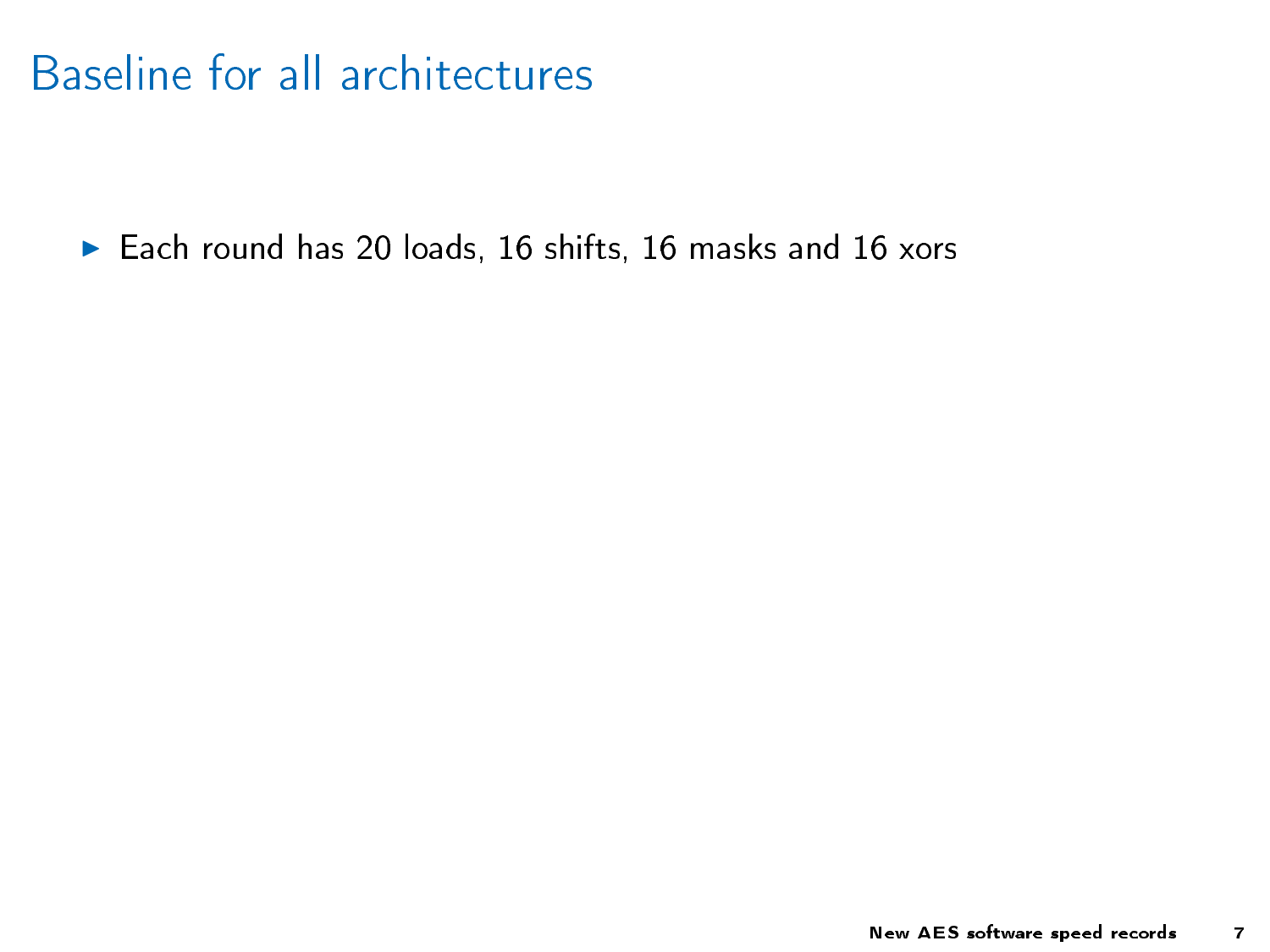## Baseline for all architectures

▶ Each round has 20 loads, 16 shifts, 16 masks and 16 xors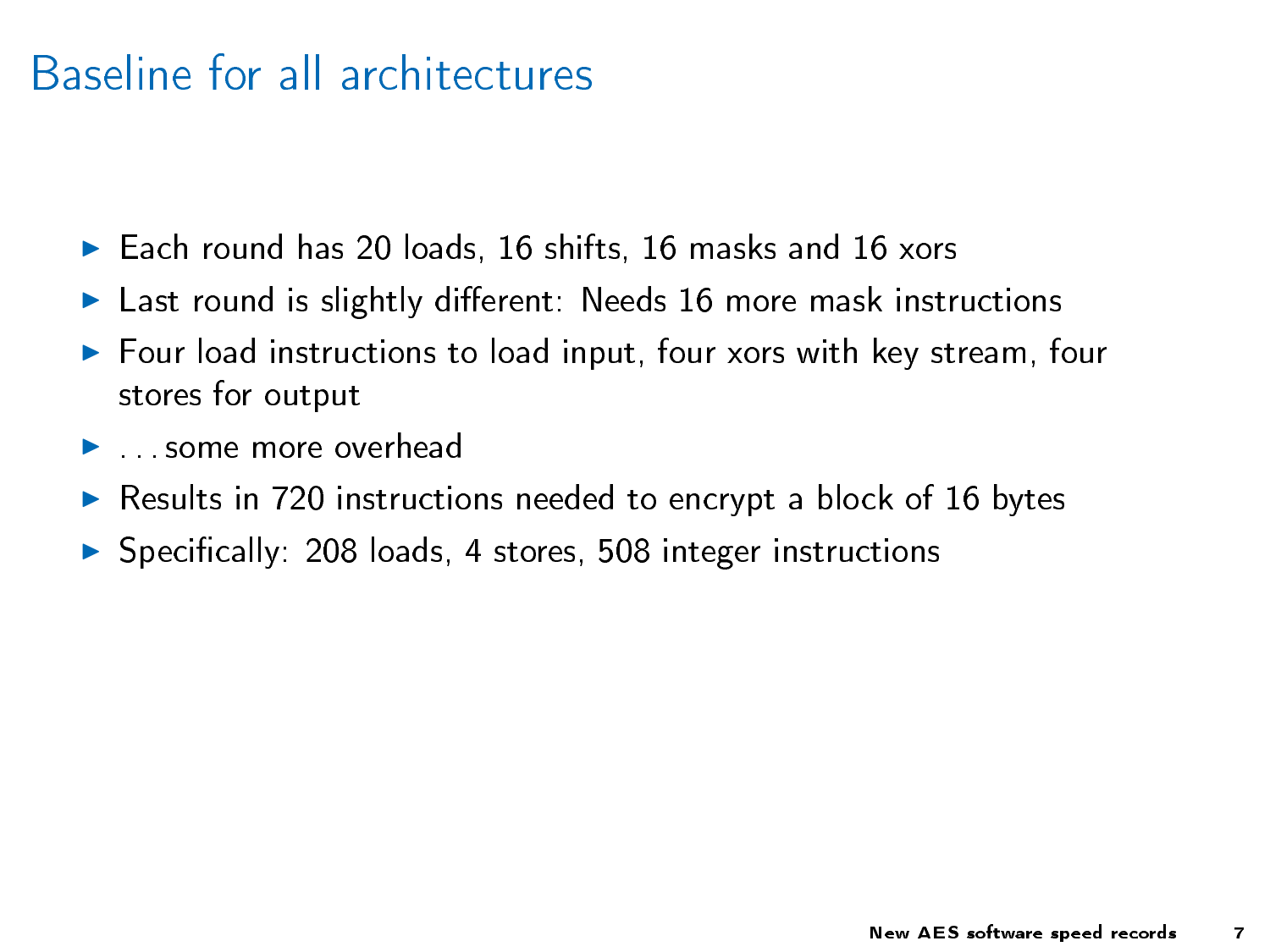### Baseline for all architectures

- ► Each round has 20 loads, 16 shifts, 16 masks and 16 xors
- $\blacktriangleright$  Last round is slightly different: Needs 16 more mask instructions
- $\blacktriangleright$  Four load instructions to load input, four xors with key stream, four stores for output
- $\blacktriangleright$  some more overhead
- $\triangleright$  Results in 720 instructions needed to encrypt a block of 16 bytes
- $\triangleright$  Specifically: 208 loads, 4 stores, 508 integer instructions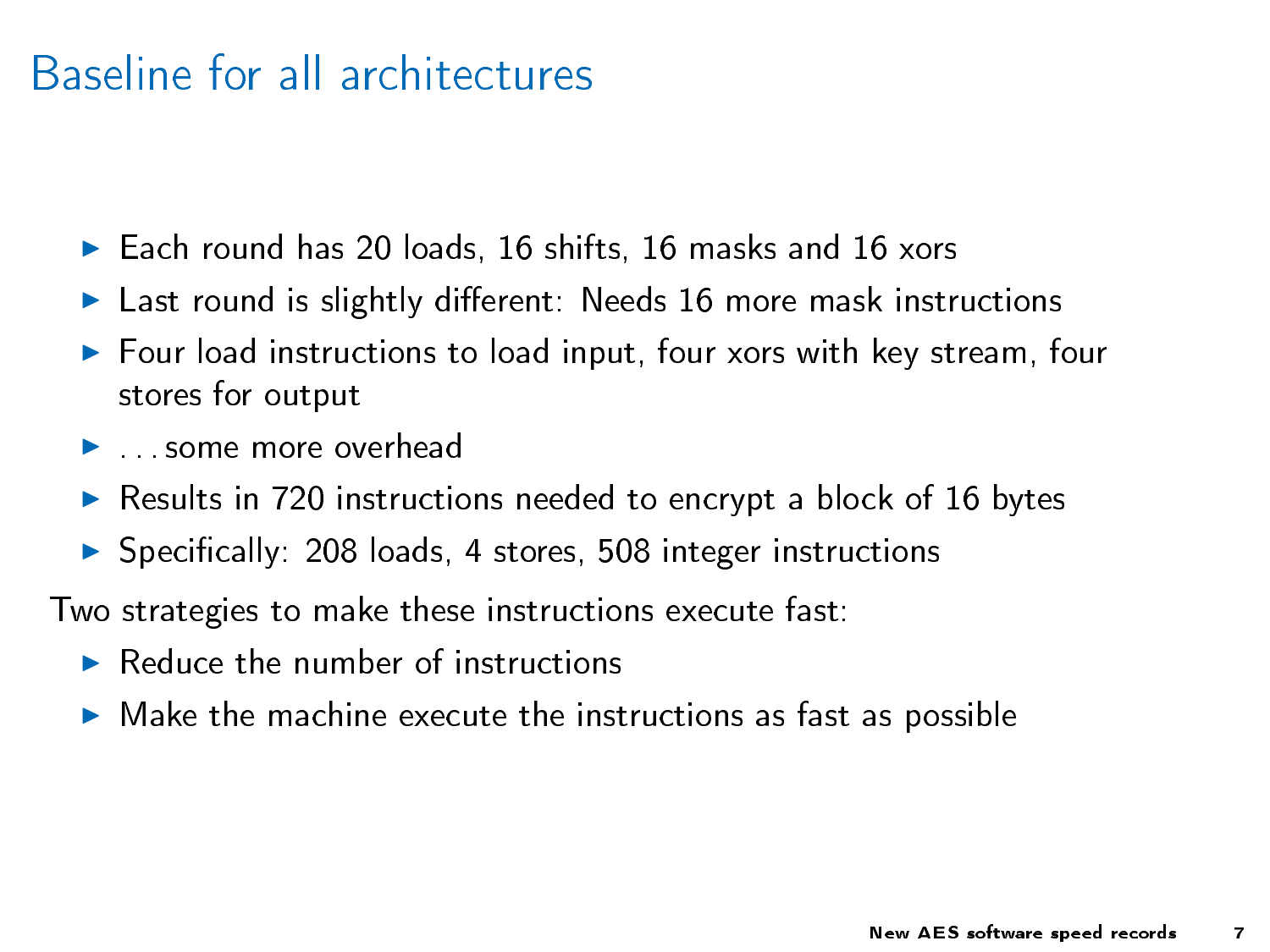### Baseline for all architectures

- ► Each round has 20 loads, 16 shifts, 16 masks and 16 xors
- $\blacktriangleright$  Last round is slightly different: Needs 16 more mask instructions
- $\blacktriangleright$  Four load instructions to load input, four xors with key stream, four stores for output
- $\blacktriangleright$  some more overhead
- $\triangleright$  Results in 720 instructions needed to encrypt a block of 16 bytes
- $\triangleright$  Specifically: 208 loads, 4 stores, 508 integer instructions

Two strategies to make these instructions execute fast:

- $\blacktriangleright$  Reduce the number of instructions
- $\triangleright$  Make the machine execute the instructions as fast as possible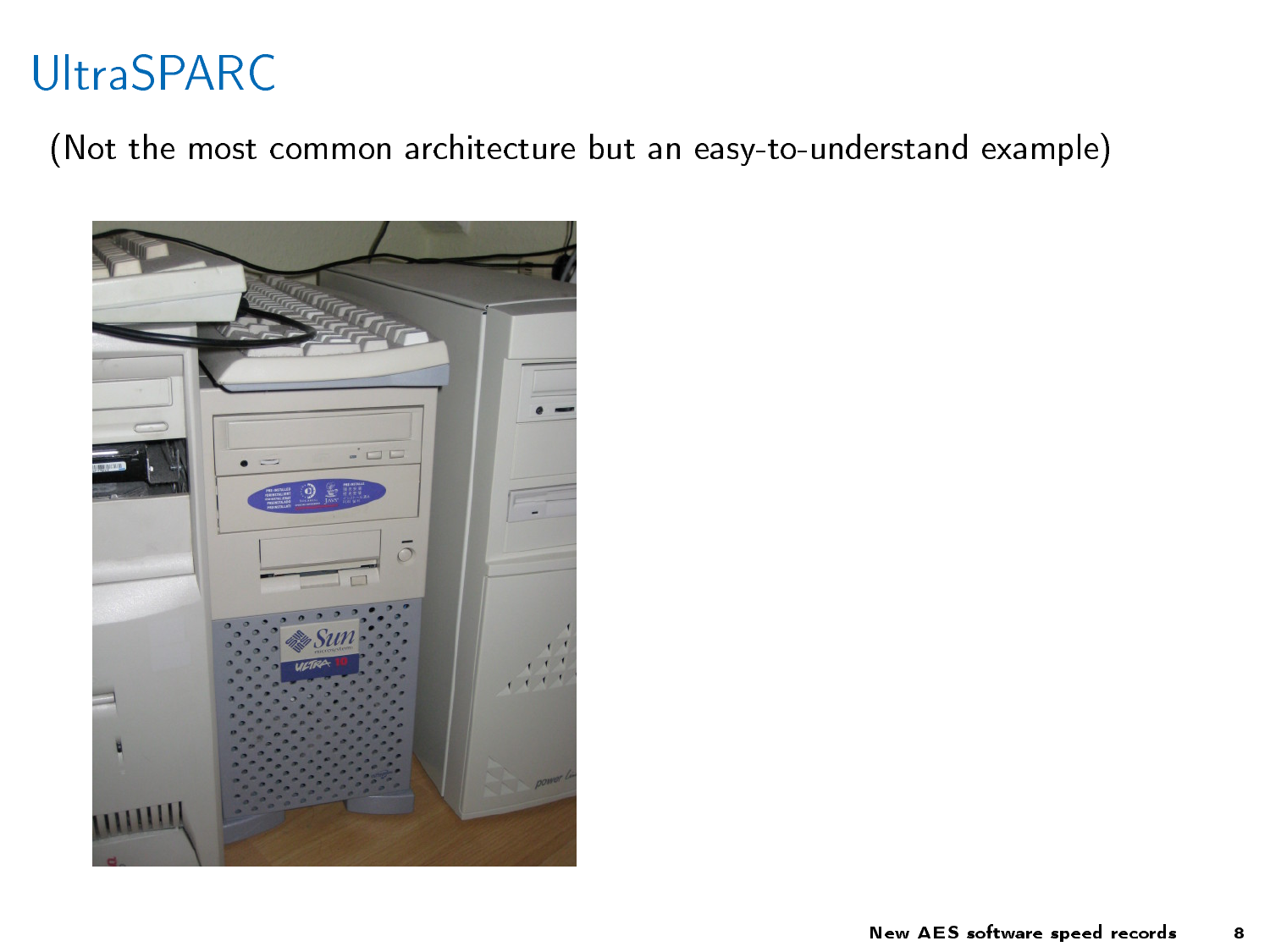## UltraSPARC

(Not the most common architecture but an easy-to-understand example)

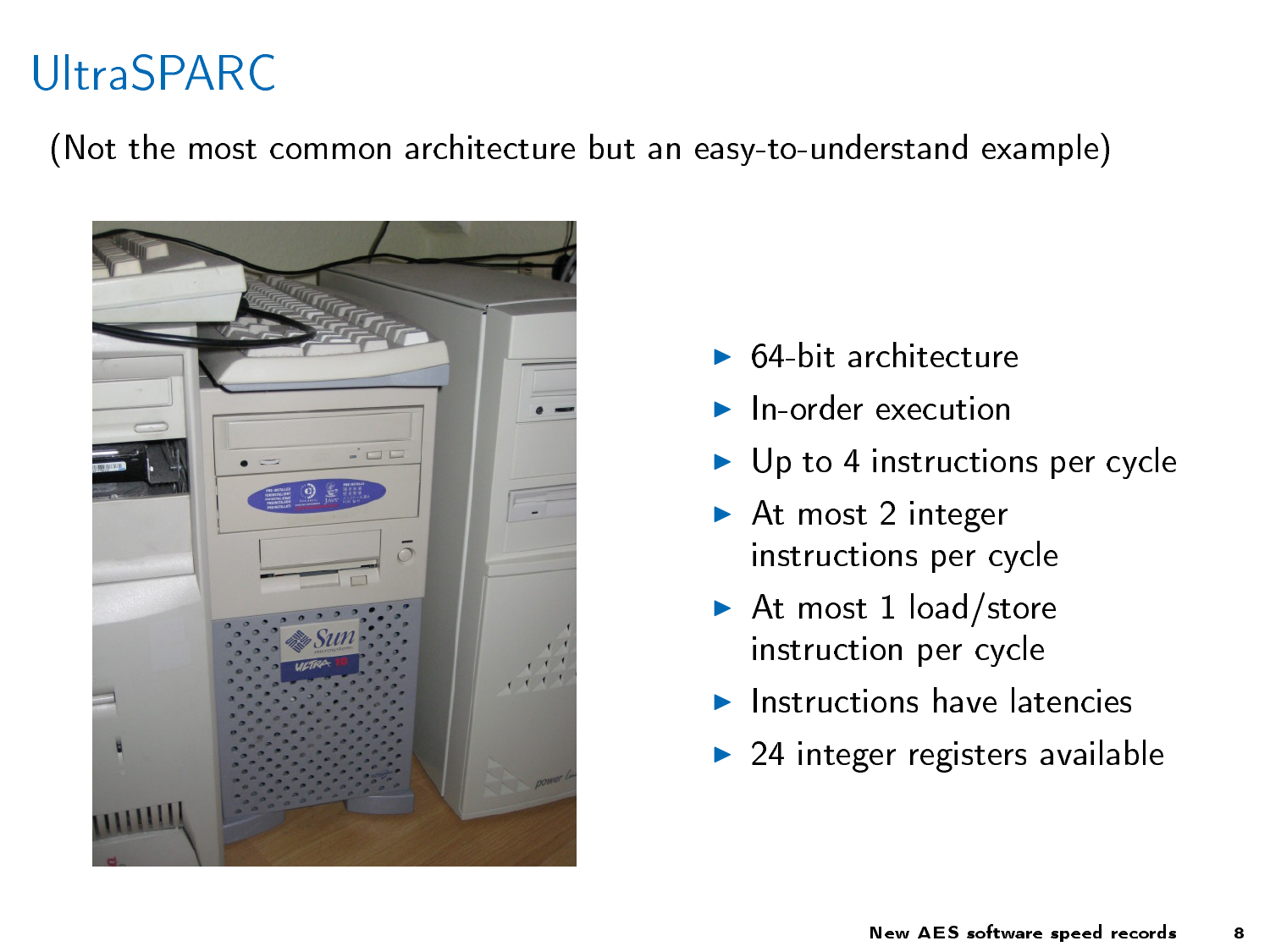## UltraSPARC

(Not the most common architecture but an easy-to-understand example)



- $\triangleright$  64-bit architecture
- $\blacktriangleright$  In-order execution
- $\blacktriangleright$  Up to 4 instructions per cycle
- $\blacktriangleright$  At most 2 integer instructions per cycle
- At most 1 load/store instruction per cycle
- $\blacktriangleright$  Instructions have latencies
- $\triangleright$  24 integer registers available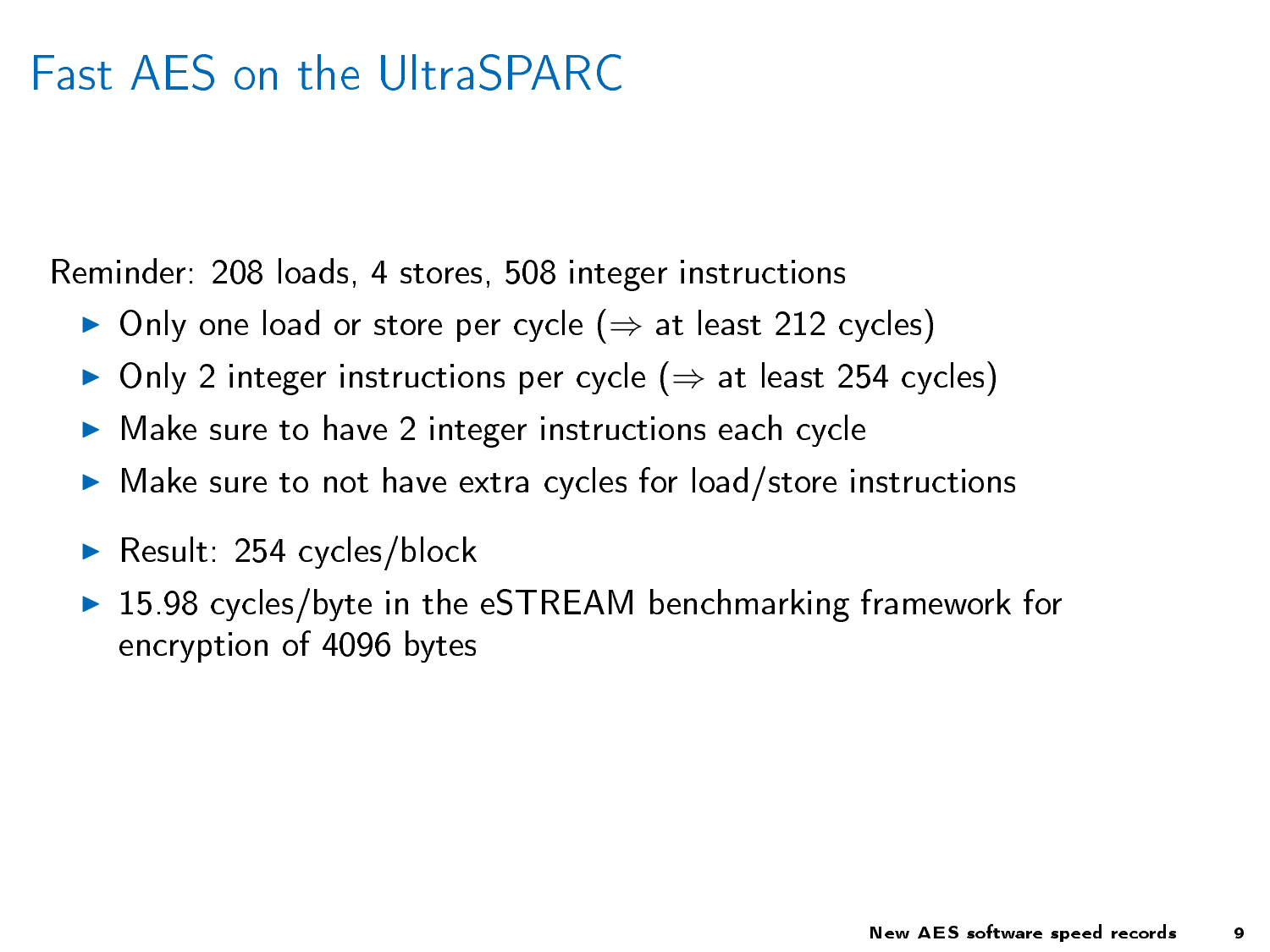## Fast AES on the UltraSPARC

Reminder: 208 loads, 4 stores, 508 integer instructions

- $\triangleright$  Only one load or store per cycle ( $\Rightarrow$  at least 212 cycles)
- $\triangleright$  Only 2 integer instructions per cycle ( $\Rightarrow$  at least 254 cycles)
- $\blacktriangleright$  Make sure to have 2 integer instructions each cycle
- $\blacktriangleright$  Make sure to not have extra cycles for load/store instructions
- Result:  $254$  cycles/block
- ▶ 15.98 cycles/byte in the eSTREAM benchmarking framework for encryption of 4096 bytes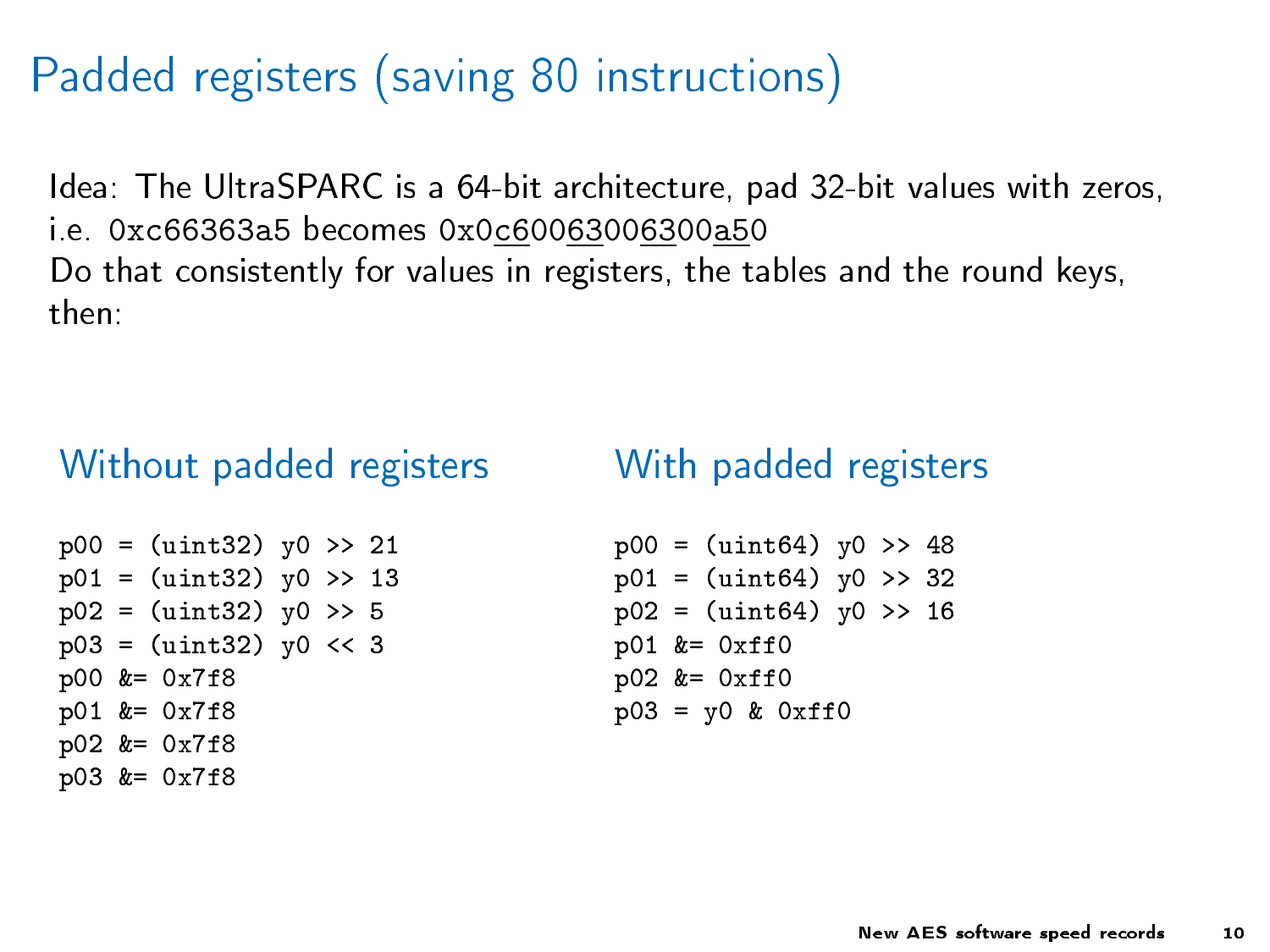## Padded registers (saving 80 instructions)

Idea: The UltraSPARC is a 64-bit architecture, pad 32-bit values with zeros, i.e. 0xc66363a5 becomes 0x0c60063006300a50 Do that consistently for values in registers, the tables and the round keys, then:

#### Without padded registers

 $p00 = (uint32)$   $y0 \gg 21$  $p01 = (uint32)$   $y0 \gg 13$  $p02 = (uint32)$   $y0 \gg 5$  $p03 = (uint32)$   $y0 \leq 3$ p00 &= 0x7f8 p01 &= 0x7f8 p02 &= 0x7f8 p03 &= 0x7f8

#### With padded registers

```
p00 = (uint64) y0 >> 48p01 = (uint64) v0 \gg 32p02 = (uint64) v0 \gg 16p01 &= 0xff0
p02 &= 0xff0
p03 = y0 & 0xff0
```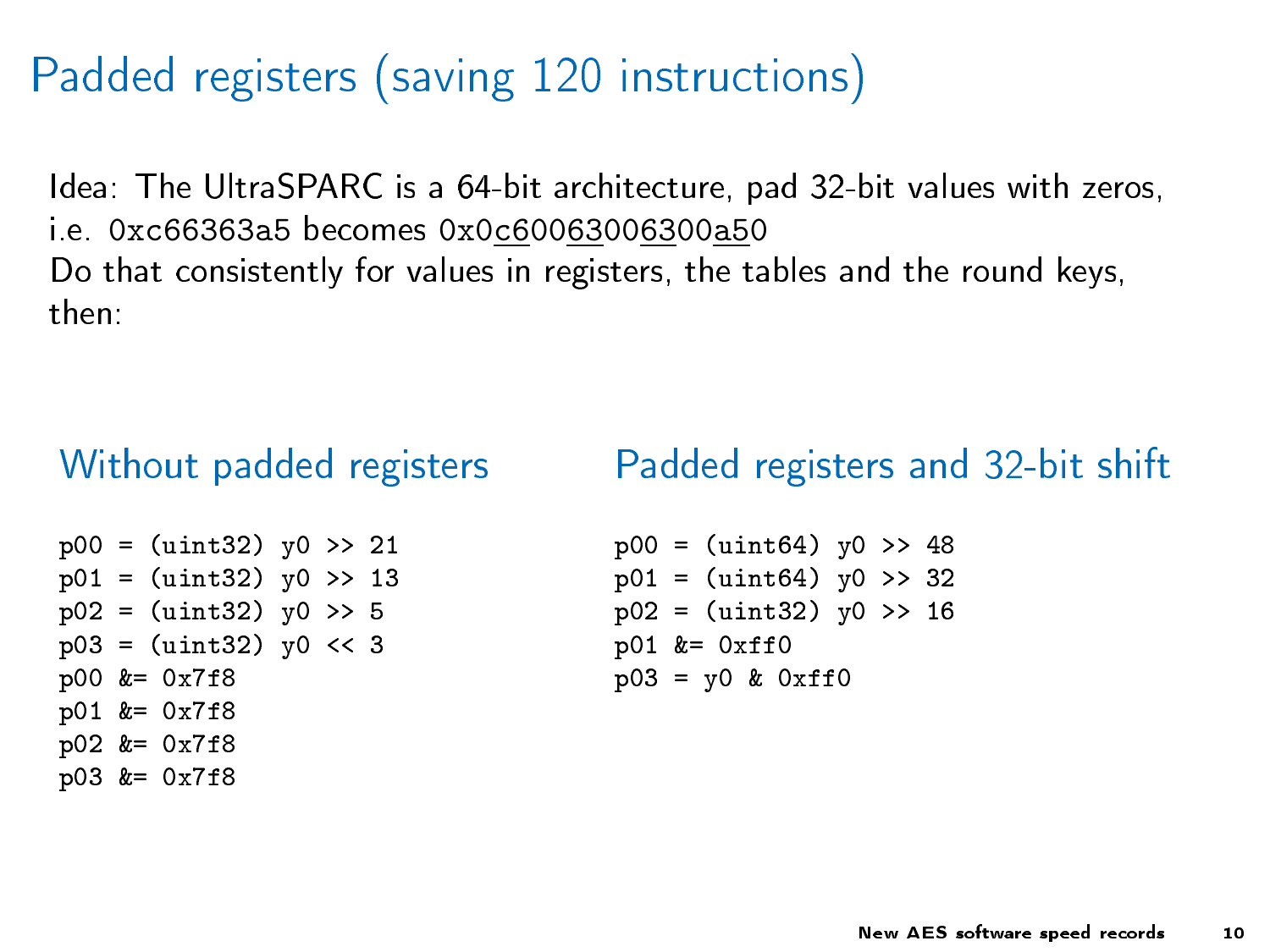## Padded registers (saving 120 instructions)

Idea: The UltraSPARC is a 64-bit architecture, pad 32-bit values with zeros, i.e. 0xc66363a5 becomes 0x0c60063006300a50 Do that consistently for values in registers, the tables and the round keys, then:

#### Without padded registers

#### Padded registers and 32-bit shift

 $p00 = (uint32)$   $y0 \gg 21$  $p01 = (uint32)$   $y0 \gg 13$  $p02 = (uint32)$   $y0 \gg 5$  $p03 = (uint32)$   $y0 \leq 3$ p00 &= 0x7f8 p01 &= 0x7f8 p02 &= 0x7f8 p03 &= 0x7f8

```
p00 = (uint64) y0 >> 48p01 = (uint64) v0 \gg 32p02 = (uint32) v0 \gg 16p01 &= 0xff0
p03 = y0 & 0xff0
```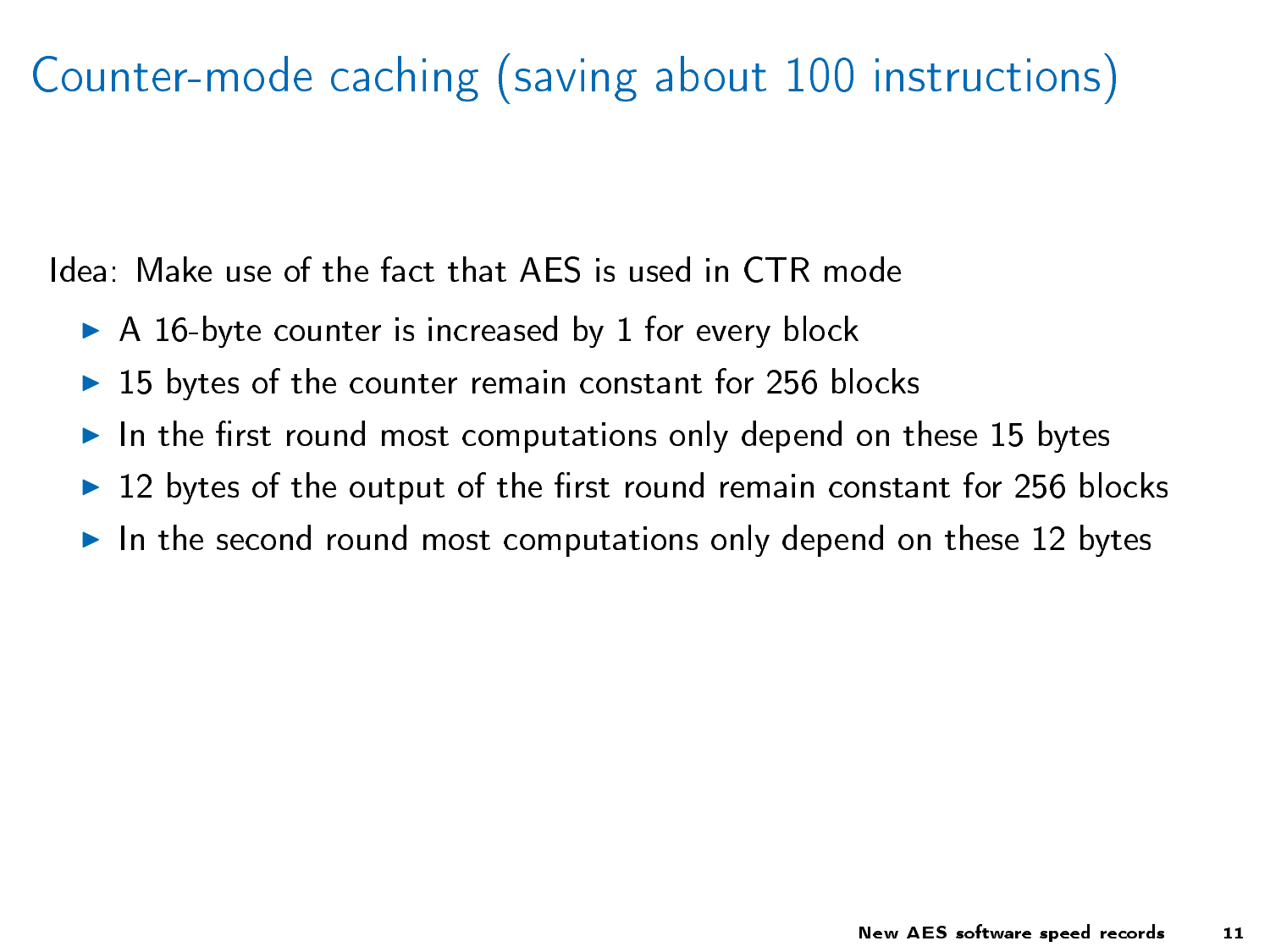# Counter-mode caching (saving about 100 instructions)

Idea: Make use of the fact that AES is used in CTR mode

- $\triangleright$  A 16-byte counter is increased by 1 for every block
- $\triangleright$  15 bytes of the counter remain constant for 256 blocks
- In the first round most computations only depend on these 15 bytes
- $\triangleright$  12 bytes of the output of the first round remain constant for 256 blocks
- In the second round most computations only depend on these 12 bytes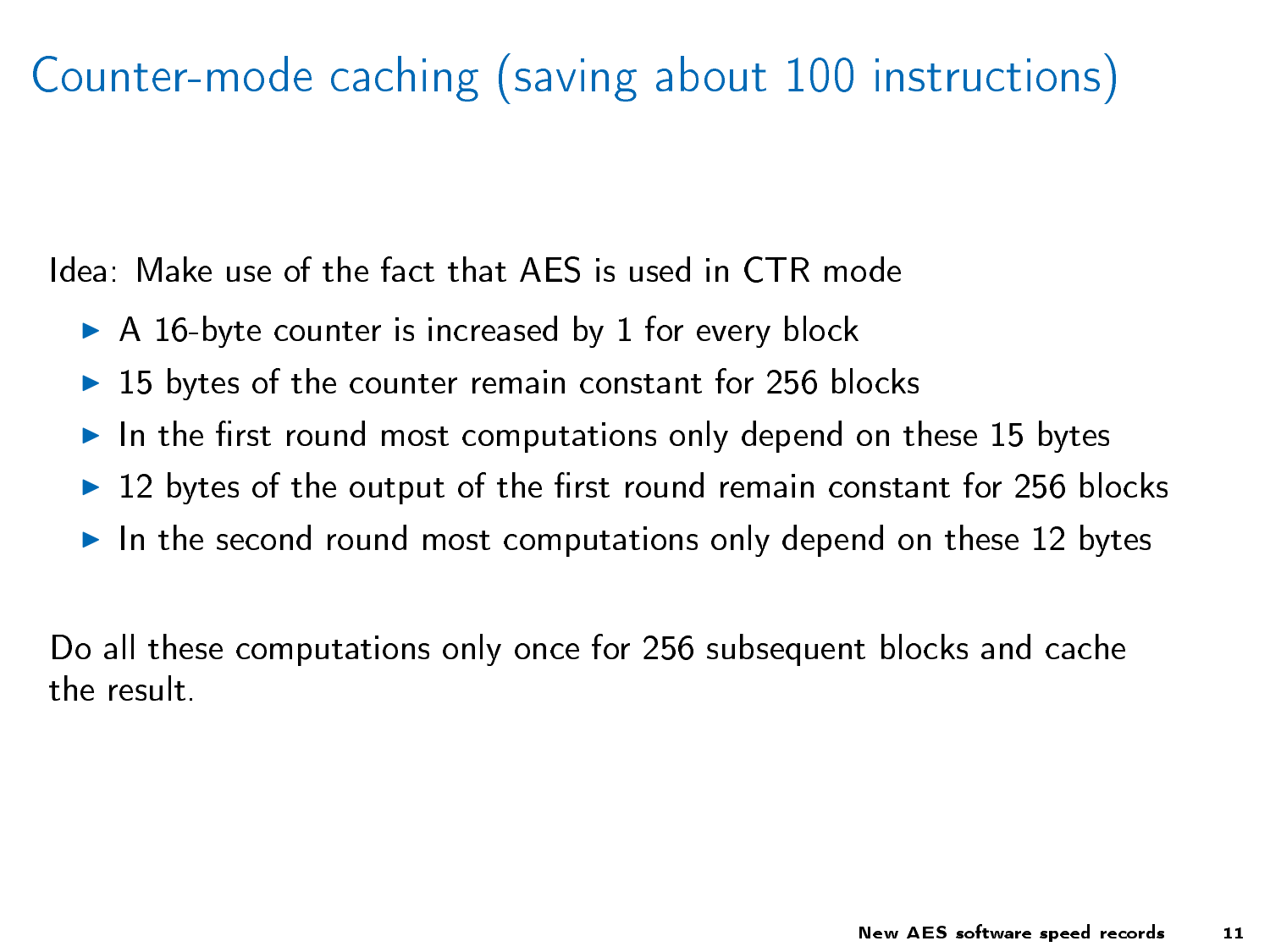# Counter-mode caching (saving about 100 instructions)

Idea: Make use of the fact that AES is used in CTR mode

- $\triangleright$  A 16-byte counter is increased by 1 for every block
- $\triangleright$  15 bytes of the counter remain constant for 256 blocks
- In the first round most computations only depend on these 15 bytes
- $\triangleright$  12 bytes of the output of the first round remain constant for 256 blocks
- In the second round most computations only depend on these 12 bytes

Do all these computations only once for 256 subsequent blocks and cache the result.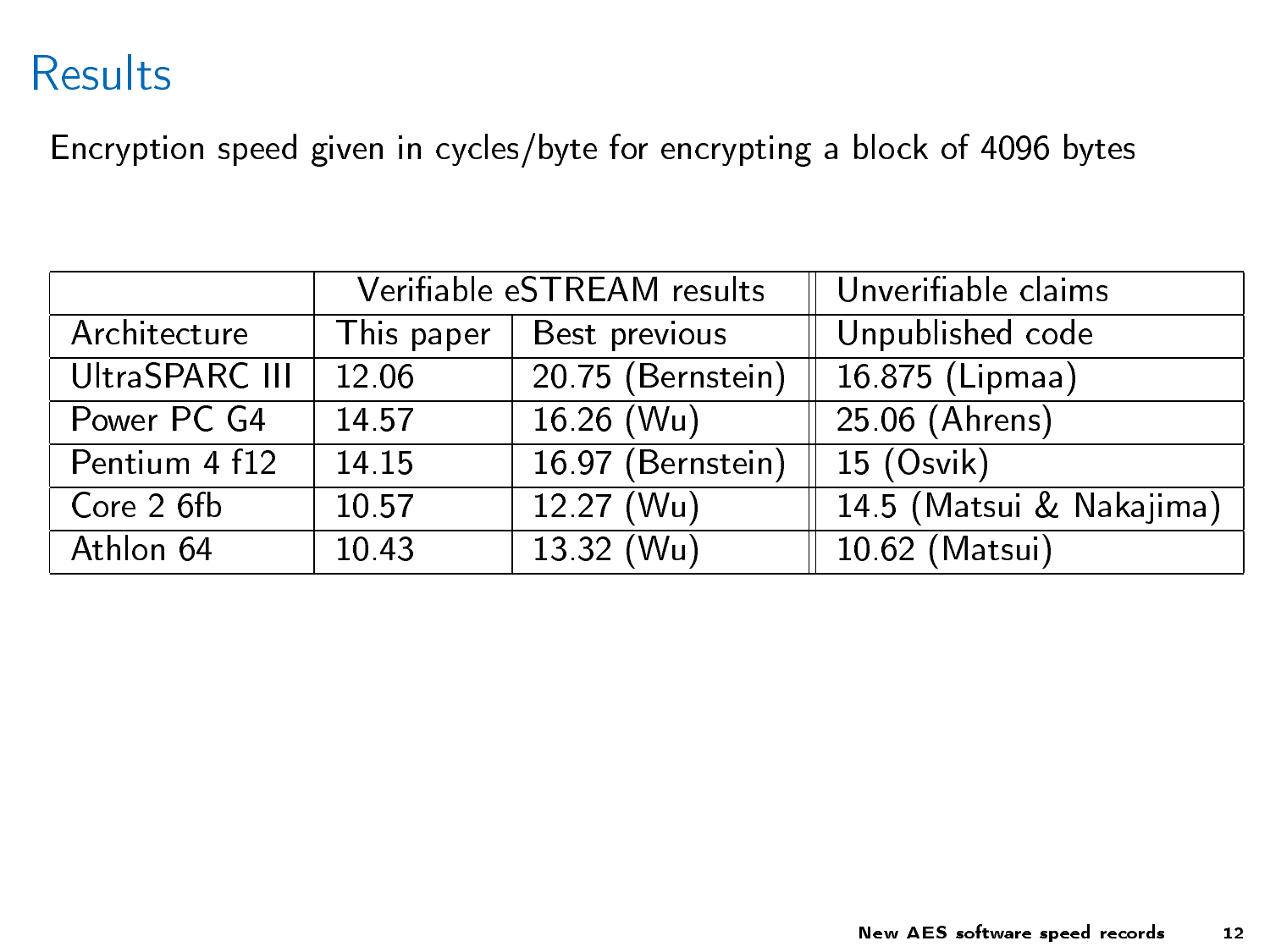## Results

Encryption speed given in cycles/byte for encrypting a block of 4096 bytes

|                | Verifiable eSTREAM results |                                     | $\parallel$ Unverifiable claims |
|----------------|----------------------------|-------------------------------------|---------------------------------|
| Architecture   | This paper                 | Best previous                       | Unpublished code                |
| UltraSPARC III | 12.06                      | 20.75 (Bernstein)   16.875 (Lipmaa) |                                 |
| Power PC G4    | 14.57                      | $16.26$ (Wu)                        | 25.06 (Ahrens)                  |
| Pentium 4 f12  | 14 15                      | 16.97 (Bernstein)   15 (Osvik)      |                                 |
| Core 2 6fb     | 10.57                      | $12.27$ (Wu)                        | 14 5 (Matsui & Nakajima)        |
| Athlon 64      | 10.43                      | 13 32 (Wu)                          | 10 62 (Matsui)                  |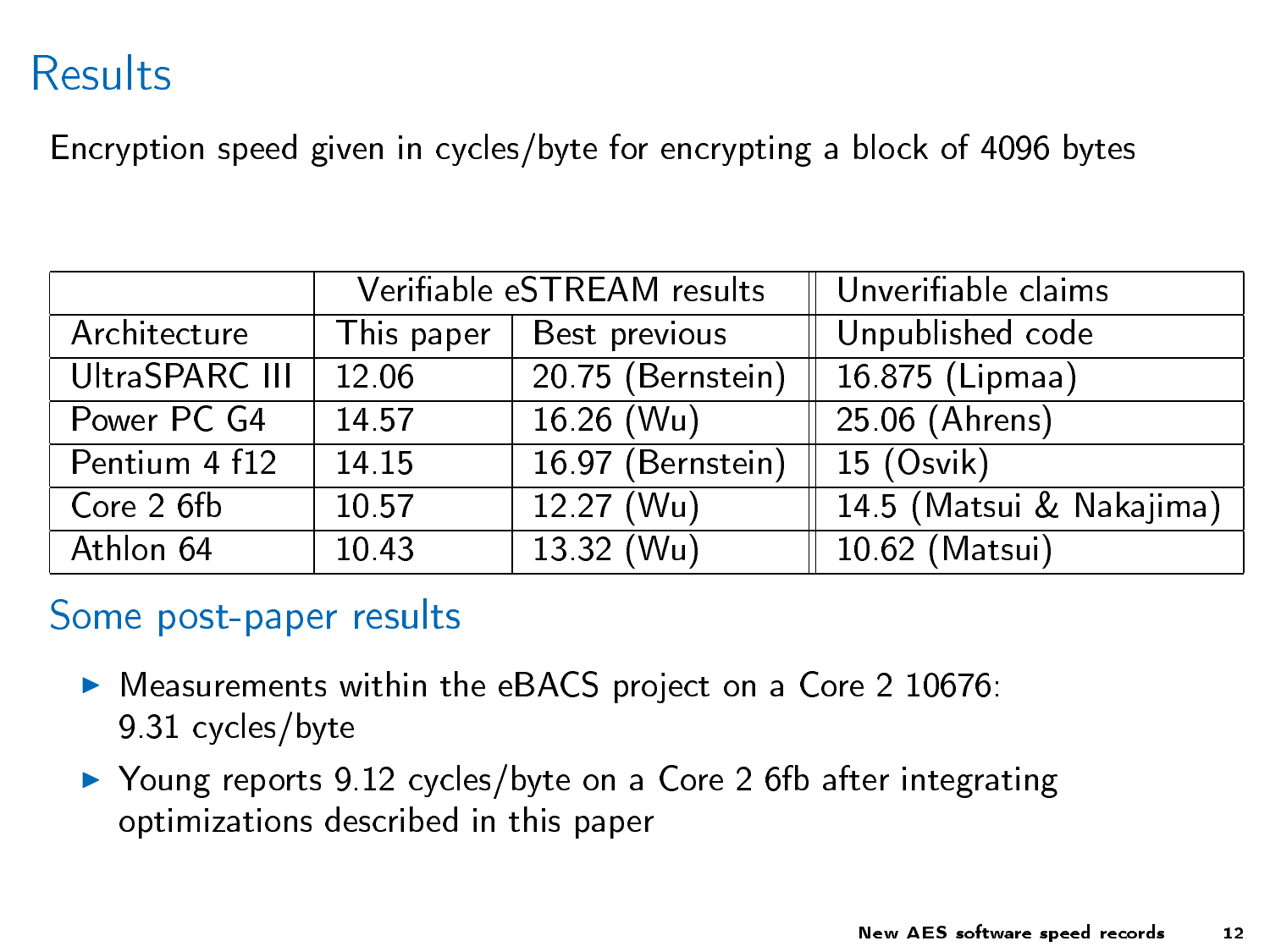## Results

Encryption speed given in cycles/byte for encrypting a block of 4096 bytes

|                | Verifiable eSTREAM results |                                | $\mid$ Unverifiable claims  |
|----------------|----------------------------|--------------------------------|-----------------------------|
| Architecture   | This paper                 | Best previous                  | Unpublished code            |
| UltraSPARC III | 12.06                      | 20 75 (Bernstein)              | $\overline{16875}$ (Lipmaa) |
| Power PC G4    | 14.57                      | $16.26$ (Wu)                   | 25.06 (Ahrens)              |
| Pentium 4 f12  | 14 15                      | 16.97 (Bernstein)   15 (Osvik) |                             |
| Core 2 6fb     | 10.57                      | $12.27$ (Wu)                   | 14 5 (Matsui & Nakajima)    |
| Athlon 64      | 10.43                      | 13 32 (Wu)                     | 10 62 (Matsui)              |

#### Some post-paper results

- $\blacktriangleright$  Measurements within the eBACS project on a Core 2 10676: 9.31 cycles/byte
- ▶ Young reports 9.12 cycles/byte on a Core 2 6fb after integrating optimizations described in this paper